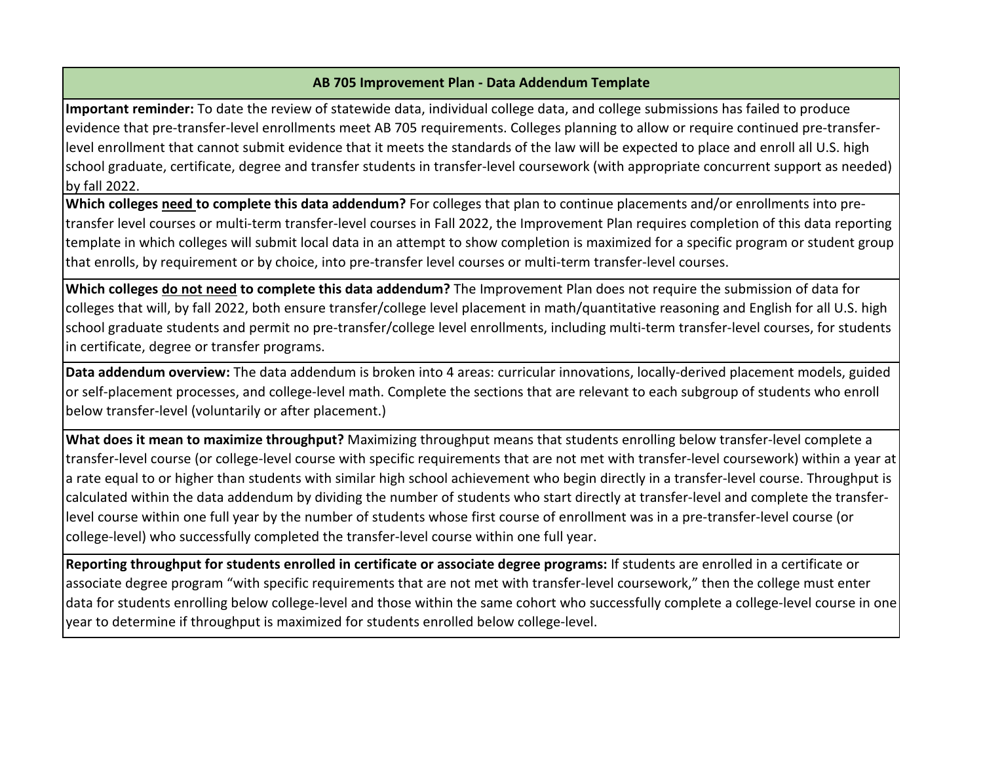#### **AB 705 Improvement Plan - Data Addendum Template**

**Important reminder:** To date the review of statewide data, individual college data, and college submissions has failed to produce evidence that pre-transfer-level enrollments meet AB 705 requirements. Colleges planning to allow or require continued pre-transferlevel enrollment that cannot submit evidence that it meets the standards of the law will be expected to place and enroll all U.S. high school graduate, certificate, degree and transfer students in transfer-level coursework (with appropriate concurrent support as needed) by fall 2022.

**Which colleges need to complete this data addendum?** For colleges that plan to continue placements and/or enrollments into pretransfer level courses or multi-term transfer-level courses in Fall 2022, the Improvement Plan requires completion of this data reporting template in which colleges will submit local data in an attempt to show completion is maximized for a specific program or student group that enrolls, by requirement or by choice, into pre-transfer level courses or multi-term transfer-level courses.

**Which colleges do not need to complete this data addendum?** The Improvement Plan does not require the submission of data for colleges that will, by fall 2022, both ensure transfer/college level placement in math/quantitative reasoning and English for all U.S. high school graduate students and permit no pre-transfer/college level enrollments, including multi-term transfer-level courses, for students in certificate, degree or transfer programs.

**Data addendum overview:** The data addendum is broken into 4 areas: curricular innovations, locally-derived placement models, guided or self-placement processes, and college-level math. Complete the sections that are relevant to each subgroup of students who enroll below transfer-level (voluntarily or after placement.)

**What does it mean to maximize throughput?** Maximizing throughput means that students enrolling below transfer-level complete a transfer-level course (or college-level course with specific requirements that are not met with transfer-level coursework) within a year at a rate equal to or higher than students with similar high school achievement who begin directly in a transfer-level course. Throughput is calculated within the data addendum by dividing the number of students who start directly at transfer-level and complete the transferlevel course within one full year by the number of students whose first course of enrollment was in a pre-transfer-level course (or college-level) who successfully completed the transfer-level course within one full year.

**Reporting throughput for students enrolled in certificate or associate degree programs:** If students are enrolled in a certificate or associate degree program "with specific requirements that are not met with transfer-level coursework," then the college must enter data for students enrolling below college-level and those within the same cohort who successfully complete a college-level course in one year to determine if throughput is maximized for students enrolled below college-level.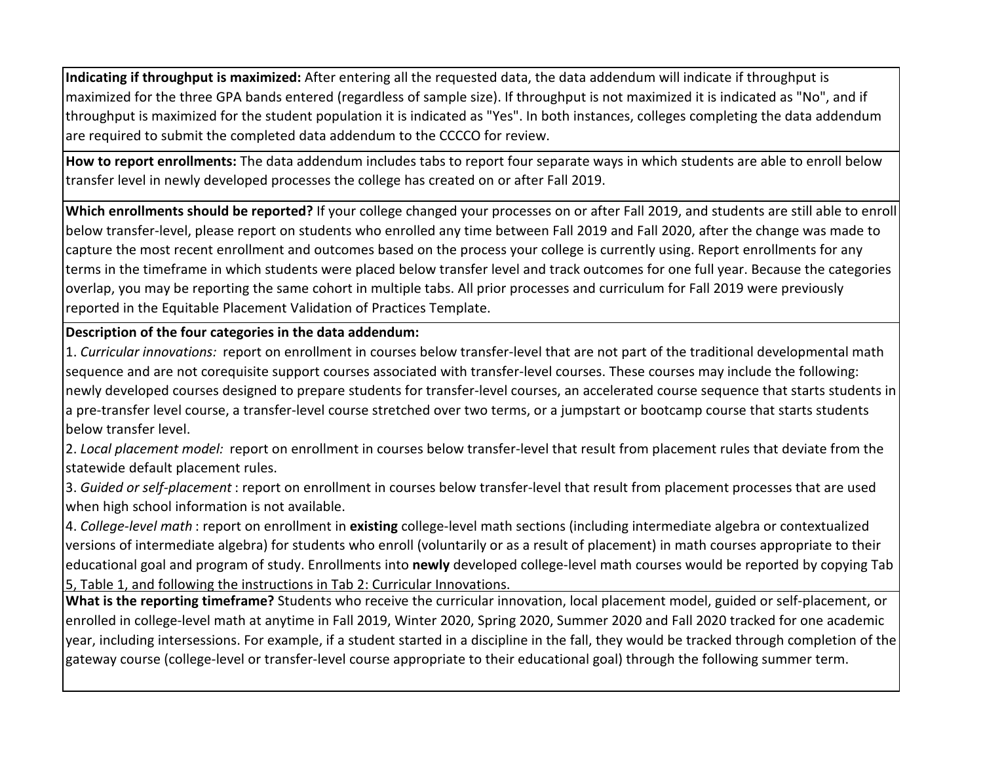**Indicating if throughput is maximized:** After entering all the requested data, the data addendum will indicate if throughput is maximized for the three GPA bands entered (regardless of sample size). If throughput is not maximized it is indicated as "No", and if throughput is maximized for the student population it is indicated as "Yes". In both instances, colleges completing the data addendum are required to submit the completed data addendum to the CCCCO for review.

**How to report enrollments:** The data addendum includes tabs to report four separate ways in which students are able to enroll below transfer level in newly developed processes the college has created on or after Fall 2019.

**Which enrollments should be reported?** If your college changed your processes on or after Fall 2019, and students are still able to enroll below transfer-level, please report on students who enrolled any time between Fall 2019 and Fall 2020, after the change was made to capture the most recent enrollment and outcomes based on the process your college is currently using. Report enrollments for any terms in the timeframe in which students were placed below transfer level and track outcomes for one full year. Because the categories overlap, you may be reporting the same cohort in multiple tabs. All prior processes and curriculum for Fall 2019 were previously reported in the Equitable Placement Validation of Practices Template.

**Description of the four categories in the data addendum:** 

1. *Curricular innovations:* report on enrollment in courses below transfer-level that are not part of the traditional developmental math sequence and are not corequisite support courses associated with transfer-level courses. These courses may include the following: newly developed courses designed to prepare students for transfer-level courses, an accelerated course sequence that starts students in a pre-transfer level course, a transfer-level course stretched over two terms, or a jumpstart or bootcamp course that starts students below transfer level.

2. *Local placement model:* report on enrollment in courses below transfer-level that result from placement rules that deviate from the statewide default placement rules.

3. *Guided or self-placement* : report on enrollment in courses below transfer-level that result from placement processes that are used when high school information is not available.

4. *College-level math* : report on enrollment in **existing** college-level math sections (including intermediate algebra or contextualized versions of intermediate algebra) for students who enroll (voluntarily or as a result of placement) in math courses appropriate to their educational goal and program of study. Enrollments into **newly** developed college-level math courses would be reported by copying Tab 5, Table 1, and following the instructions in Tab 2: Curricular Innovations.

**What is the reporting timeframe?** Students who receive the curricular innovation, local placement model, guided or self-placement, or enrolled in college-level math at anytime in Fall 2019, Winter 2020, Spring 2020, Summer 2020 and Fall 2020 tracked for one academic year, including intersessions. For example, if a student started in a discipline in the fall, they would be tracked through completion of the gateway course (college-level or transfer-level course appropriate to their educational goal) through the following summer term.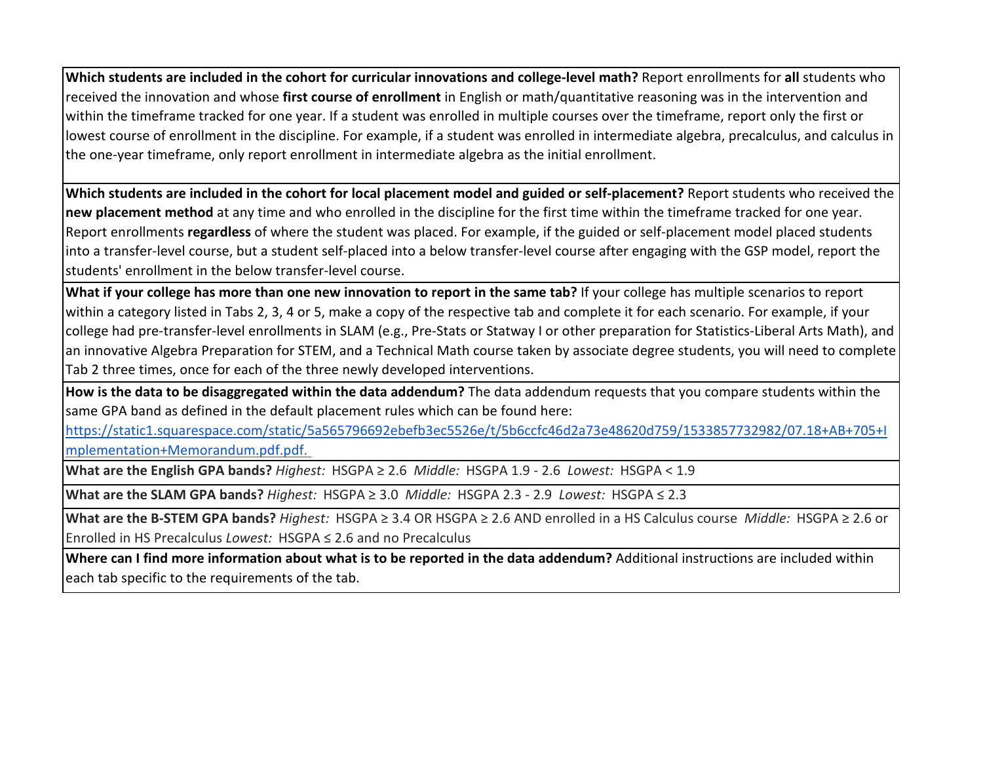**Which students are included in the cohort for curricular innovations and college-level math?** Report enrollments for **all** students who received the innovation and whose **first course of enrollment** in English or math/quantitative reasoning was in the intervention and within the timeframe tracked for one year. If a student was enrolled in multiple courses over the timeframe, report only the first or lowest course of enrollment in the discipline. For example, if a student was enrolled in intermediate algebra, precalculus, and calculus in the one-year timeframe, only report enrollment in intermediate algebra as the initial enrollment.

**Which students are included in the cohort for local placement model and guided or self-placement?** Report students who received the **new placement method** at any time and who enrolled in the discipline for the first time within the timeframe tracked for one year. Report enrollments **regardless** of where the student was placed. For example, if the guided or self-placement model placed students into a transfer-level course, but a student self-placed into a below transfer-level course after engaging with the GSP model, report the students' enrollment in the below transfer-level course.

**What if your college has more than one new innovation to report in the same tab?** If your college has multiple scenarios to report within a category listed in Tabs 2, 3, 4 or 5, make a copy of the respective tab and complete it for each scenario. For example, if your college had pre-transfer-level enrollments in SLAM (e.g., Pre-Stats or Statway I or other preparation for Statistics-Liberal Arts Math), and an innovative Algebra Preparation for STEM, and a Technical Math course taken by associate degree students, you will need to complete Tab 2 three times, once for each of the three newly developed interventions.

**[How is the data to be disaggregated within the data addendum?](https://static1.squarespace.com/static/5a565796692ebefb3ec5526e/t/5b6ccfc46d2a73e48620d759/1533857732982/07.18+AB+705+Implementation+Memorandum.pdf.pdf.)** The data addendum requests that you compare students within the [sam](https://static1.squarespace.com/static/5a565796692ebefb3ec5526e/t/5b6ccfc46d2a73e48620d759/1533857732982/07.18+AB+705+Implementation+Memorandum.pdf.pdf.)e GPA band as defined in the default placement rules which can be found here:

[http](https://static1.squarespace.com/static/5a565796692ebefb3ec5526e/t/5b6ccfc46d2a73e48620d759/1533857732982/07.18+AB+705+Implementation+Memorandum.pdf.pdf.)s://static1.squarespace.com/static/5a565796692ebefb3ec5526e/t/5b6ccfc46d2a73e48620d759/1533857732982/07.18+AB+705+I [mple](https://static1.squarespace.com/static/5a565796692ebefb3ec5526e/t/5b6ccfc46d2a73e48620d759/1533857732982/07.18+AB+705+Implementation+Memorandum.pdf.pdf.)mentation+Memorandum.pdf.pdf.

**What are the English GPA bands?** *Highest:* HSGPA ≥ 2.6 *Middle:* HSGPA 1.9 - 2.6 *Lowest:* HSGPA < 1.9

**What are the SLAM GPA bands?** *Highest:* HSGPA ≥ 3.0 *Middle:* HSGPA 2.3 - 2.9 *Lowest:* HSGPA ≤ 2.3

**What are the B-STEM GPA bands?** *Highest:* HSGPA ≥ 3.4 OR HSGPA ≥ 2.6 AND enrolled in a HS Calculus course *Middle:* HSGPA ≥ 2.6 or Enrolled in HS Precalculus *Lowest:* HSGPA ≤ 2.6 and no Precalculus

**Where can I find more information about what is to be reported in the data addendum?** Additional instructions are included within each tab specific to the requirements of the tab.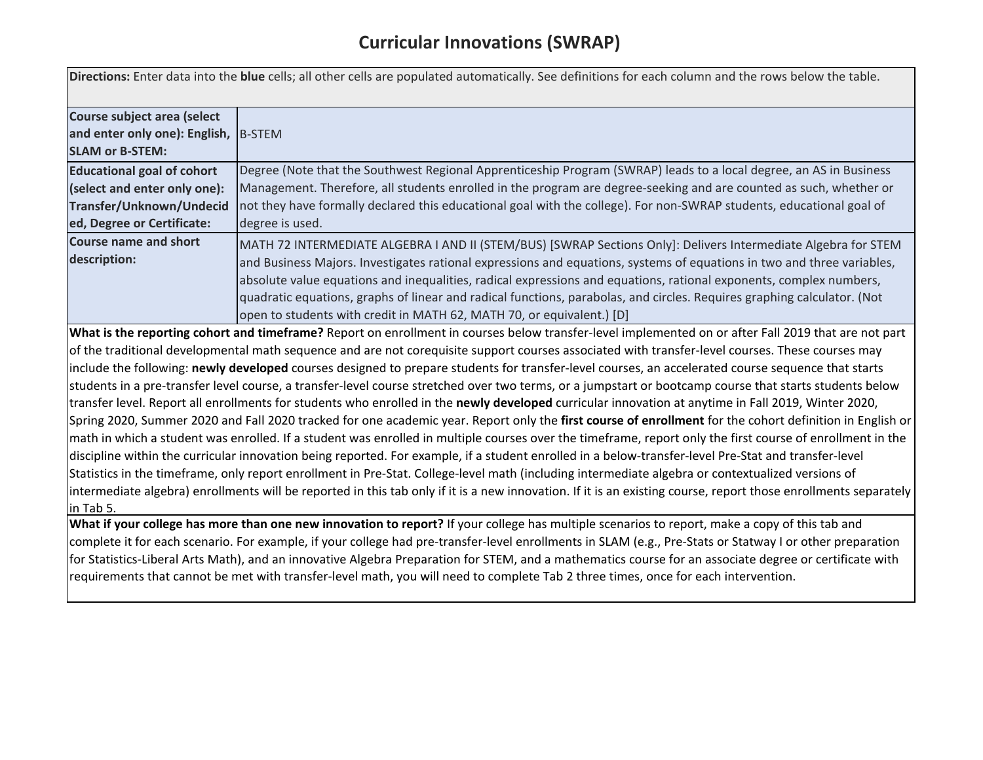|                                                                                                                             | Directions: Enter data into the blue cells; all other cells are populated automatically. See definitions for each column and the rows below the table.                                                                                                                                                                                                                                                                                                                                                                                                                                                                                                                                                                                                                                                                                                                                                                                                                                                                                                                                                                                                                                                                                                                                                                                                                                                                                                                                                                                                                                    |
|-----------------------------------------------------------------------------------------------------------------------------|-------------------------------------------------------------------------------------------------------------------------------------------------------------------------------------------------------------------------------------------------------------------------------------------------------------------------------------------------------------------------------------------------------------------------------------------------------------------------------------------------------------------------------------------------------------------------------------------------------------------------------------------------------------------------------------------------------------------------------------------------------------------------------------------------------------------------------------------------------------------------------------------------------------------------------------------------------------------------------------------------------------------------------------------------------------------------------------------------------------------------------------------------------------------------------------------------------------------------------------------------------------------------------------------------------------------------------------------------------------------------------------------------------------------------------------------------------------------------------------------------------------------------------------------------------------------------------------------|
| Course subject area (select<br>and enter only one): English, B-STEM<br><b>SLAM or B-STEM:</b>                               |                                                                                                                                                                                                                                                                                                                                                                                                                                                                                                                                                                                                                                                                                                                                                                                                                                                                                                                                                                                                                                                                                                                                                                                                                                                                                                                                                                                                                                                                                                                                                                                           |
| <b>Educational goal of cohort</b><br>(select and enter only one):<br>Transfer/Unknown/Undecid<br>ed, Degree or Certificate: | Degree (Note that the Southwest Regional Apprenticeship Program (SWRAP) leads to a local degree, an AS in Business<br>Management. Therefore, all students enrolled in the program are degree-seeking and are counted as such, whether or<br>not they have formally declared this educational goal with the college). For non-SWRAP students, educational goal of<br>degree is used.                                                                                                                                                                                                                                                                                                                                                                                                                                                                                                                                                                                                                                                                                                                                                                                                                                                                                                                                                                                                                                                                                                                                                                                                       |
| <b>Course name and short</b><br>description:                                                                                | MATH 72 INTERMEDIATE ALGEBRA I AND II (STEM/BUS) [SWRAP Sections Only]: Delivers Intermediate Algebra for STEM<br>and Business Majors. Investigates rational expressions and equations, systems of equations in two and three variables,<br>absolute value equations and inequalities, radical expressions and equations, rational exponents, complex numbers,<br>quadratic equations, graphs of linear and radical functions, parabolas, and circles. Requires graphing calculator. (Not<br>open to students with credit in MATH 62, MATH 70, or equivalent.) [D]                                                                                                                                                                                                                                                                                                                                                                                                                                                                                                                                                                                                                                                                                                                                                                                                                                                                                                                                                                                                                        |
| in Tab 5.                                                                                                                   | What is the reporting cohort and timeframe? Report on enrollment in courses below transfer-level implemented on or after Fall 2019 that are not part<br>of the traditional developmental math sequence and are not corequisite support courses associated with transfer-level courses. These courses may<br>include the following: newly developed courses designed to prepare students for transfer-level courses, an accelerated course sequence that starts<br>students in a pre-transfer level course, a transfer-level course stretched over two terms, or a jumpstart or bootcamp course that starts students below<br>transfer level. Report all enrollments for students who enrolled in the newly developed curricular innovation at anytime in Fall 2019, Winter 2020,<br>Spring 2020, Summer 2020 and Fall 2020 tracked for one academic year. Report only the first course of enrollment for the cohort definition in English or<br>math in which a student was enrolled. If a student was enrolled in multiple courses over the timeframe, report only the first course of enrollment in the<br>discipline within the curricular innovation being reported. For example, if a student enrolled in a below-transfer-level Pre-Stat and transfer-level<br>Statistics in the timeframe, only report enrollment in Pre-Stat. College-level math (including intermediate algebra or contextualized versions of<br>intermediate algebra) enrollments will be reported in this tab only if it is a new innovation. If it is an existing course, report those enrollments separately |
|                                                                                                                             | What if your college has more than one new innovation to report? If your college has multiple scenarios to report, make a copy of this tab and<br>complete it for each scenario. For example, if your college had pre-transfer-level enrollments in SLAM (e.g., Pre-Stats or Statway I or other preparation<br>for Statistics-Liberal Arts Math), and an innovative Algebra Preparation for STEM, and a mathematics course for an associate degree or certificate with<br>requirements that cannot be met with transfer-level math, you will need to complete Tab 2 three times, once for each intervention.                                                                                                                                                                                                                                                                                                                                                                                                                                                                                                                                                                                                                                                                                                                                                                                                                                                                                                                                                                              |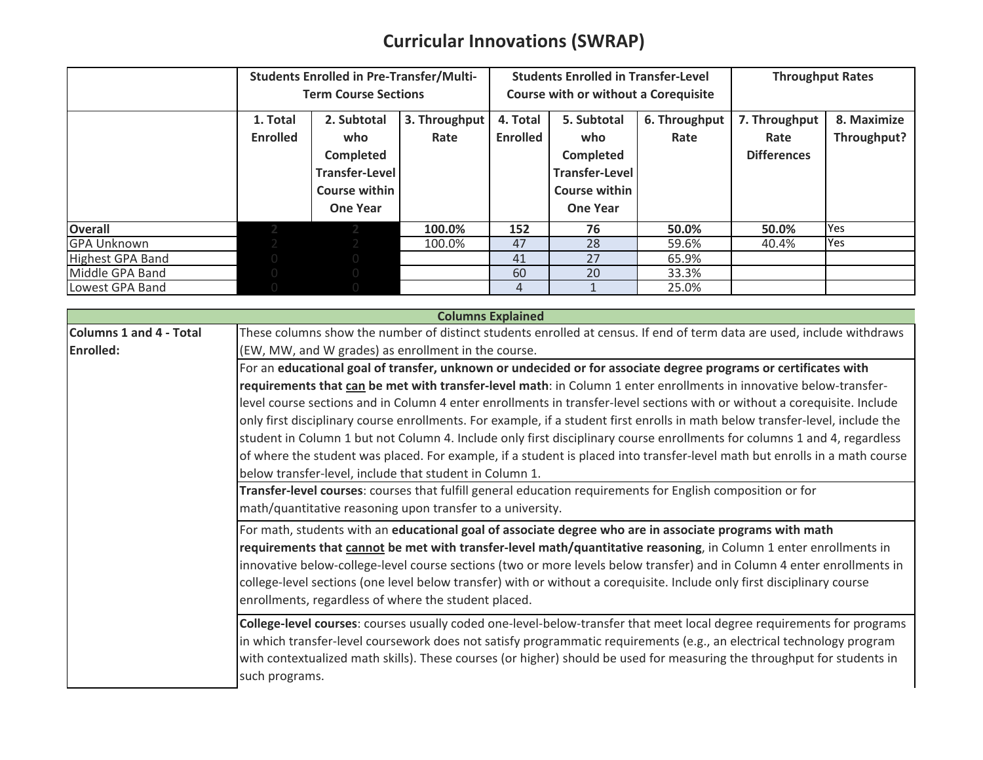## **Curricular Innovations (SWRAP)**

|                         |                             | <b>Students Enrolled in Pre-Transfer/Multi-</b> |               | <b>Students Enrolled in Transfer-Level</b> |                                             |               | <b>Throughput Rates</b> |             |
|-------------------------|-----------------------------|-------------------------------------------------|---------------|--------------------------------------------|---------------------------------------------|---------------|-------------------------|-------------|
|                         | <b>Term Course Sections</b> |                                                 |               |                                            | <b>Course with or without a Corequisite</b> |               |                         |             |
|                         | 1. Total                    | 2. Subtotal                                     | 3. Throughput | 4. Total                                   | 5. Subtotal                                 | 6. Throughput | 7. Throughput           | 8. Maximize |
|                         | <b>Enrolled</b>             | who                                             | Rate          | <b>Enrolled</b>                            | who                                         | Rate          | Rate                    | Throughput? |
|                         |                             | <b>Completed</b>                                |               |                                            | Completed                                   |               | <b>Differences</b>      |             |
|                         |                             | <b>Transfer-Level</b>                           |               |                                            | <b>Transfer-Level</b>                       |               |                         |             |
|                         |                             | Course within                                   |               |                                            | Course within                               |               |                         |             |
|                         |                             | <b>One Year</b>                                 |               |                                            | <b>One Year</b>                             |               |                         |             |
| <b>Overall</b>          |                             |                                                 | 100.0%        | 152                                        | 76                                          | 50.0%         | 50.0%                   | Yes         |
| <b>GPA Unknown</b>      |                             |                                                 | 100.0%        | 47                                         | 28                                          | 59.6%         | 40.4%                   | Yes         |
| <b>Highest GPA Band</b> |                             | $\bigcap$                                       |               | 41                                         | 27                                          | 65.9%         |                         |             |
| Middle GPA Band         |                             | $\overline{0}$                                  |               | 60                                         | 20                                          | 33.3%         |                         |             |
| Lowest GPA Band         |                             |                                                 |               | 4                                          |                                             | 25.0%         |                         |             |

|                                | <b>Columns Explained</b>                                                                                                                                                                                                                                                                                                                                                                     |  |  |  |  |  |
|--------------------------------|----------------------------------------------------------------------------------------------------------------------------------------------------------------------------------------------------------------------------------------------------------------------------------------------------------------------------------------------------------------------------------------------|--|--|--|--|--|
| <b>Columns 1 and 4 - Total</b> | These columns show the number of distinct students enrolled at census. If end of term data are used, include withdraws                                                                                                                                                                                                                                                                       |  |  |  |  |  |
| <b>Enrolled:</b>               | (EW, MW, and W grades) as enrollment in the course.                                                                                                                                                                                                                                                                                                                                          |  |  |  |  |  |
|                                | For an educational goal of transfer, unknown or undecided or for associate degree programs or certificates with                                                                                                                                                                                                                                                                              |  |  |  |  |  |
|                                | requirements that can be met with transfer-level math: in Column 1 enter enrollments in innovative below-transfer-                                                                                                                                                                                                                                                                           |  |  |  |  |  |
|                                | level course sections and in Column 4 enter enrollments in transfer-level sections with or without a corequisite. Include                                                                                                                                                                                                                                                                    |  |  |  |  |  |
|                                | only first disciplinary course enrollments. For example, if a student first enrolls in math below transfer-level, include the                                                                                                                                                                                                                                                                |  |  |  |  |  |
|                                | student in Column 1 but not Column 4. Include only first disciplinary course enrollments for columns 1 and 4, regardless                                                                                                                                                                                                                                                                     |  |  |  |  |  |
|                                | of where the student was placed. For example, if a student is placed into transfer-level math but enrolls in a math course                                                                                                                                                                                                                                                                   |  |  |  |  |  |
|                                | below transfer-level, include that student in Column 1.                                                                                                                                                                                                                                                                                                                                      |  |  |  |  |  |
|                                | Transfer-level courses: courses that fulfill general education requirements for English composition or for                                                                                                                                                                                                                                                                                   |  |  |  |  |  |
|                                | math/quantitative reasoning upon transfer to a university.                                                                                                                                                                                                                                                                                                                                   |  |  |  |  |  |
|                                | For math, students with an educational goal of associate degree who are in associate programs with math                                                                                                                                                                                                                                                                                      |  |  |  |  |  |
|                                | requirements that cannot be met with transfer-level math/quantitative reasoning, in Column 1 enter enrollments in                                                                                                                                                                                                                                                                            |  |  |  |  |  |
|                                | innovative below-college-level course sections (two or more levels below transfer) and in Column 4 enter enrollments in                                                                                                                                                                                                                                                                      |  |  |  |  |  |
|                                | college-level sections (one level below transfer) with or without a corequisite. Include only first disciplinary course                                                                                                                                                                                                                                                                      |  |  |  |  |  |
|                                | enrollments, regardless of where the student placed.                                                                                                                                                                                                                                                                                                                                         |  |  |  |  |  |
|                                |                                                                                                                                                                                                                                                                                                                                                                                              |  |  |  |  |  |
|                                |                                                                                                                                                                                                                                                                                                                                                                                              |  |  |  |  |  |
|                                |                                                                                                                                                                                                                                                                                                                                                                                              |  |  |  |  |  |
|                                |                                                                                                                                                                                                                                                                                                                                                                                              |  |  |  |  |  |
|                                | College-level courses: courses usually coded one-level-below-transfer that meet local degree requirements for programs<br>in which transfer-level coursework does not satisfy programmatic requirements (e.g., an electrical technology program<br>with contextualized math skills). These courses (or higher) should be used for measuring the throughput for students in<br>such programs. |  |  |  |  |  |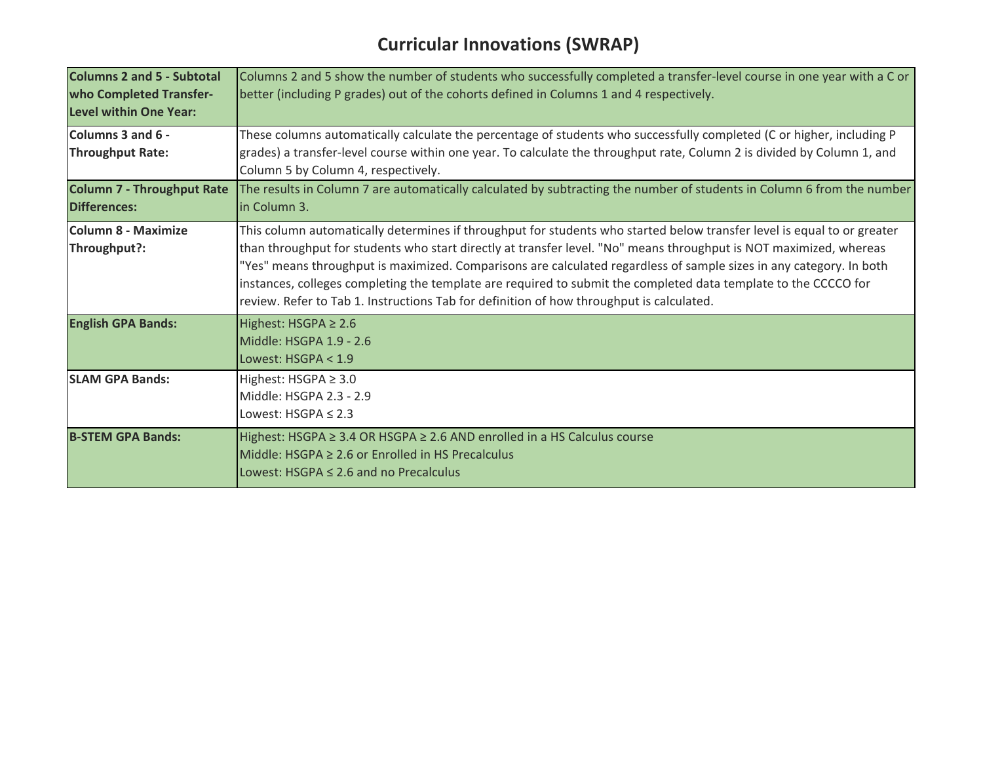## **Curricular Innovations (SWRAP)**

| <b>Columns 2 and 5 - Subtotal</b><br>who Completed Transfer-<br>Level within One Year: | Columns 2 and 5 show the number of students who successfully completed a transfer-level course in one year with a C or<br>better (including P grades) out of the cohorts defined in Columns 1 and 4 respectively.                                                                                                                                                                                                                                                                                                                                                                   |
|----------------------------------------------------------------------------------------|-------------------------------------------------------------------------------------------------------------------------------------------------------------------------------------------------------------------------------------------------------------------------------------------------------------------------------------------------------------------------------------------------------------------------------------------------------------------------------------------------------------------------------------------------------------------------------------|
| Columns 3 and 6 -<br><b>Throughput Rate:</b>                                           | These columns automatically calculate the percentage of students who successfully completed (C or higher, including P<br>grades) a transfer-level course within one year. To calculate the throughput rate, Column 2 is divided by Column 1, and<br>Column 5 by Column 4, respectively.                                                                                                                                                                                                                                                                                             |
| <b>Column 7 - Throughput Rate</b><br><b>Differences:</b>                               | The results in Column 7 are automatically calculated by subtracting the number of students in Column 6 from the number<br>in Column 3.                                                                                                                                                                                                                                                                                                                                                                                                                                              |
| <b>Column 8 - Maximize</b><br>Throughput?:                                             | This column automatically determines if throughput for students who started below transfer level is equal to or greater<br>than throughput for students who start directly at transfer level. "No" means throughput is NOT maximized, whereas<br>"Yes" means throughput is maximized. Comparisons are calculated regardless of sample sizes in any category. In both<br>instances, colleges completing the template are required to submit the completed data template to the CCCCO for<br>review. Refer to Tab 1. Instructions Tab for definition of how throughput is calculated. |
| <b>English GPA Bands:</b>                                                              | Highest: HSGPA $\geq 2.6$<br>Middle: HSGPA 1.9 - 2.6<br>Lowest: HSGPA < 1.9                                                                                                                                                                                                                                                                                                                                                                                                                                                                                                         |
| <b>SLAM GPA Bands:</b>                                                                 | Highest: HSGPA $\geq$ 3.0<br>Middle: HSGPA 2.3 - 2.9<br>Lowest: $HSGPA \leq 2.3$                                                                                                                                                                                                                                                                                                                                                                                                                                                                                                    |
| <b>B-STEM GPA Bands:</b>                                                               | Highest: HSGPA ≥ 3.4 OR HSGPA ≥ 2.6 AND enrolled in a HS Calculus course<br>Middle: $HSGPA \geq 2.6$ or Enrolled in HS Precalculus<br>Lowest: $HSGPA \leq 2.6$ and no Precalculus                                                                                                                                                                                                                                                                                                                                                                                                   |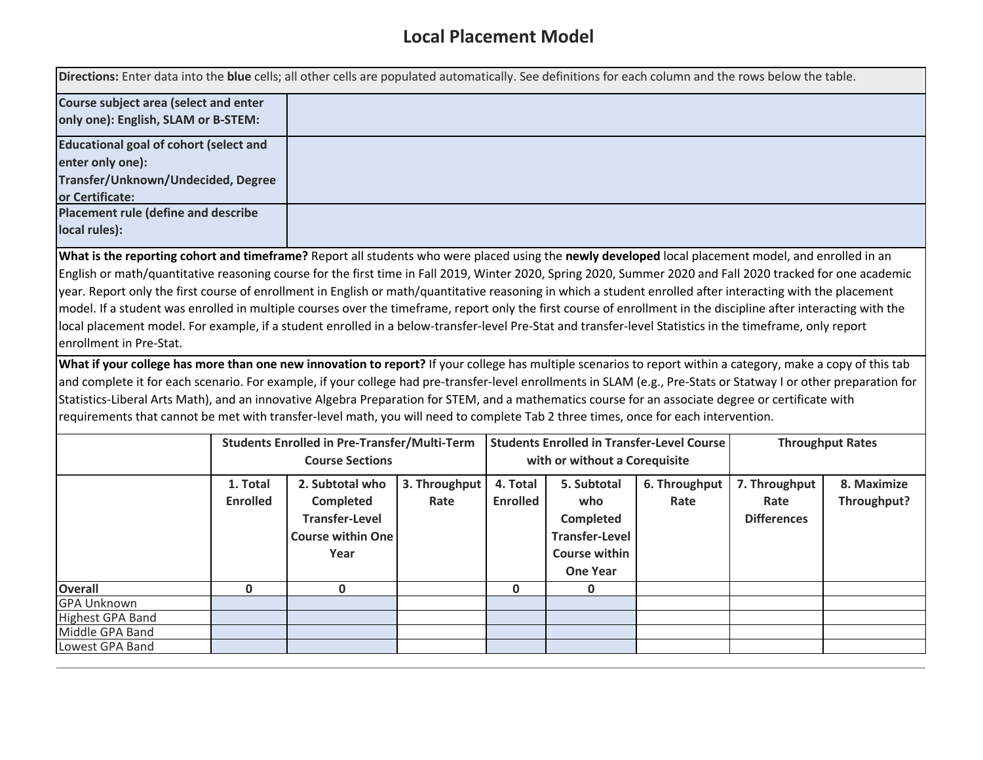## **Local Placement Model**

| Directions: Enter data into the blue cells; all other cells are populated automatically. See definitions for each column and the rows below the table.                                                                                                                                                                                                                                                                                                                                                                                                                                                                                                                                |                             |                                                                                                  |                       |                             |                                                                                                            |                       |                                             |                            |
|---------------------------------------------------------------------------------------------------------------------------------------------------------------------------------------------------------------------------------------------------------------------------------------------------------------------------------------------------------------------------------------------------------------------------------------------------------------------------------------------------------------------------------------------------------------------------------------------------------------------------------------------------------------------------------------|-----------------------------|--------------------------------------------------------------------------------------------------|-----------------------|-----------------------------|------------------------------------------------------------------------------------------------------------|-----------------------|---------------------------------------------|----------------------------|
| Course subject area (select and enter<br>only one): English, SLAM or B-STEM:                                                                                                                                                                                                                                                                                                                                                                                                                                                                                                                                                                                                          |                             |                                                                                                  |                       |                             |                                                                                                            |                       |                                             |                            |
| <b>Educational goal of cohort (select and</b><br>enter only one):                                                                                                                                                                                                                                                                                                                                                                                                                                                                                                                                                                                                                     |                             |                                                                                                  |                       |                             |                                                                                                            |                       |                                             |                            |
| Transfer/Unknown/Undecided, Degree<br>or Certificate:                                                                                                                                                                                                                                                                                                                                                                                                                                                                                                                                                                                                                                 |                             |                                                                                                  |                       |                             |                                                                                                            |                       |                                             |                            |
| Placement rule (define and describe<br>local rules):                                                                                                                                                                                                                                                                                                                                                                                                                                                                                                                                                                                                                                  |                             |                                                                                                  |                       |                             |                                                                                                            |                       |                                             |                            |
| English or math/quantitative reasoning course for the first time in Fall 2019, Winter 2020, Spring 2020, Summer 2020 and Fall 2020 tracked for one academic<br>year. Report only the first course of enrollment in English or math/quantitative reasoning in which a student enrolled after interacting with the placement<br>model. If a student was enrolled in multiple courses over the timeframe, report only the first course of enrollment in the discipline after interacting with the<br>local placement model. For example, if a student enrolled in a below-transfer-level Pre-Stat and transfer-level Statistics in the timeframe, only report<br>enrollment in Pre-Stat. |                             |                                                                                                  |                       |                             |                                                                                                            |                       |                                             |                            |
| What if your college has more than one new innovation to report? If your college has multiple scenarios to report within a category, make a copy of this tab<br>and complete it for each scenario. For example, if your college had pre-transfer-level enrollments in SLAM (e.g., Pre-Stats or Statway I or other preparation for<br>Statistics-Liberal Arts Math), and an innovative Algebra Preparation for STEM, and a mathematics course for an associate degree or certificate with<br>requirements that cannot be met with transfer-level math, you will need to complete Tab 2 three times, once for each intervention.                                                        |                             |                                                                                                  |                       |                             |                                                                                                            |                       |                                             |                            |
|                                                                                                                                                                                                                                                                                                                                                                                                                                                                                                                                                                                                                                                                                       |                             | <b>Students Enrolled in Pre-Transfer/Multi-Term</b><br><b>Course Sections</b>                    |                       |                             | <b>Students Enrolled in Transfer-Level Course</b><br>with or without a Corequisite                         |                       |                                             | <b>Throughput Rates</b>    |
|                                                                                                                                                                                                                                                                                                                                                                                                                                                                                                                                                                                                                                                                                       | 1. Total<br><b>Enrolled</b> | 2. Subtotal who<br><b>Completed</b><br><b>Transfer-Level</b><br><b>Course within One</b><br>Year | 3. Throughput<br>Rate | 4. Total<br><b>Enrolled</b> | 5. Subtotal<br>who<br><b>Completed</b><br><b>Transfer-Level</b><br><b>Course within</b><br><b>One Year</b> | 6. Throughput<br>Rate | 7. Throughput<br>Rate<br><b>Differences</b> | 8. Maximize<br>Throughput? |
| <b>Overall</b>                                                                                                                                                                                                                                                                                                                                                                                                                                                                                                                                                                                                                                                                        | $\mathbf{0}$                | $\mathbf 0$                                                                                      |                       | $\mathbf 0$                 | $\mathbf 0$                                                                                                |                       |                                             |                            |
| <b>GPA Unknown</b><br><b>Highest GPA Band</b>                                                                                                                                                                                                                                                                                                                                                                                                                                                                                                                                                                                                                                         |                             |                                                                                                  |                       |                             |                                                                                                            |                       |                                             |                            |
| Middle GPA Band                                                                                                                                                                                                                                                                                                                                                                                                                                                                                                                                                                                                                                                                       |                             |                                                                                                  |                       |                             |                                                                                                            |                       |                                             |                            |
| Lowest GPA Band                                                                                                                                                                                                                                                                                                                                                                                                                                                                                                                                                                                                                                                                       |                             |                                                                                                  |                       |                             |                                                                                                            |                       |                                             |                            |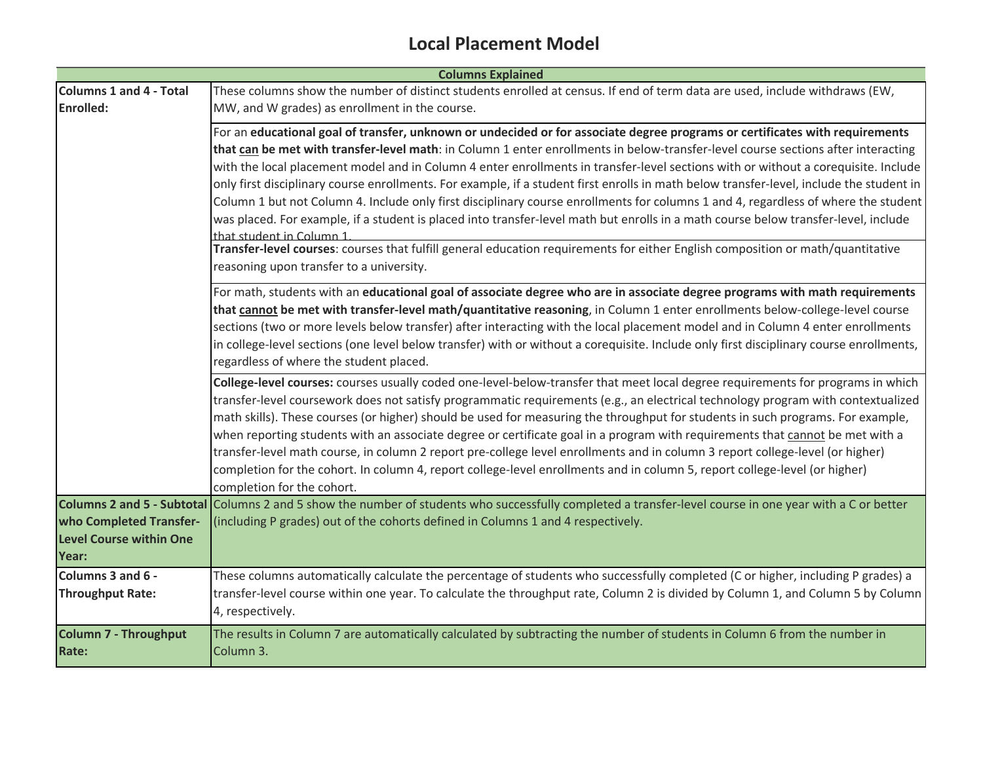#### **Local Placement Model**

|                                | <b>Columns Explained</b>                                                                                                                                                               |
|--------------------------------|----------------------------------------------------------------------------------------------------------------------------------------------------------------------------------------|
| <b>Columns 1 and 4 - Total</b> | These columns show the number of distinct students enrolled at census. If end of term data are used, include withdraws (EW,                                                            |
| <b>Enrolled:</b>               | MW, and W grades) as enrollment in the course.                                                                                                                                         |
|                                | For an educational goal of transfer, unknown or undecided or for associate degree programs or certificates with requirements                                                           |
|                                | that can be met with transfer-level math: in Column 1 enter enrollments in below-transfer-level course sections after interacting                                                      |
|                                | with the local placement model and in Column 4 enter enrollments in transfer-level sections with or without a corequisite. Include                                                     |
|                                | only first disciplinary course enrollments. For example, if a student first enrolls in math below transfer-level, include the student in                                               |
|                                | Column 1 but not Column 4. Include only first disciplinary course enrollments for columns 1 and 4, regardless of where the student                                                     |
|                                | was placed. For example, if a student is placed into transfer-level math but enrolls in a math course below transfer-level, include                                                    |
|                                | that student in Column 1<br>Transfer-level courses: courses that fulfill general education requirements for either English composition or math/quantitative                            |
|                                | reasoning upon transfer to a university.                                                                                                                                               |
|                                |                                                                                                                                                                                        |
|                                | For math, students with an educational goal of associate degree who are in associate degree programs with math requirements                                                            |
|                                | that cannot be met with transfer-level math/quantitative reasoning, in Column 1 enter enrollments below-college-level course                                                           |
|                                | sections (two or more levels below transfer) after interacting with the local placement model and in Column 4 enter enrollments                                                        |
|                                | in college-level sections (one level below transfer) with or without a corequisite. Include only first disciplinary course enrollments,                                                |
|                                | regardless of where the student placed.                                                                                                                                                |
|                                | College-level courses: courses usually coded one-level-below-transfer that meet local degree requirements for programs in which                                                        |
|                                | transfer-level coursework does not satisfy programmatic requirements (e.g., an electrical technology program with contextualized                                                       |
|                                | math skills). These courses (or higher) should be used for measuring the throughput for students in such programs. For example,                                                        |
|                                | when reporting students with an associate degree or certificate goal in a program with requirements that cannot be met with a                                                          |
|                                | transfer-level math course, in column 2 report pre-college level enrollments and in column 3 report college-level (or higher)                                                          |
|                                | completion for the cohort. In column 4, report college-level enrollments and in column 5, report college-level (or higher)                                                             |
|                                | completion for the cohort.<br>Columns 2 and 5 - Subtotal Columns 2 and 5 show the number of students who successfully completed a transfer-level course in one year with a C or better |
| who Completed Transfer-        | (including P grades) out of the cohorts defined in Columns 1 and 4 respectively.                                                                                                       |
| <b>Level Course within One</b> |                                                                                                                                                                                        |
| Year:                          |                                                                                                                                                                                        |
| Columns 3 and 6 -              | These columns automatically calculate the percentage of students who successfully completed (C or higher, including P grades) a                                                        |
| <b>Throughput Rate:</b>        | transfer-level course within one year. To calculate the throughput rate, Column 2 is divided by Column 1, and Column 5 by Column                                                       |
|                                | 4, respectively.                                                                                                                                                                       |
|                                |                                                                                                                                                                                        |
| <b>Column 7 - Throughput</b>   | The results in Column 7 are automatically calculated by subtracting the number of students in Column 6 from the number in                                                              |
| <b>Rate:</b>                   | Column 3.                                                                                                                                                                              |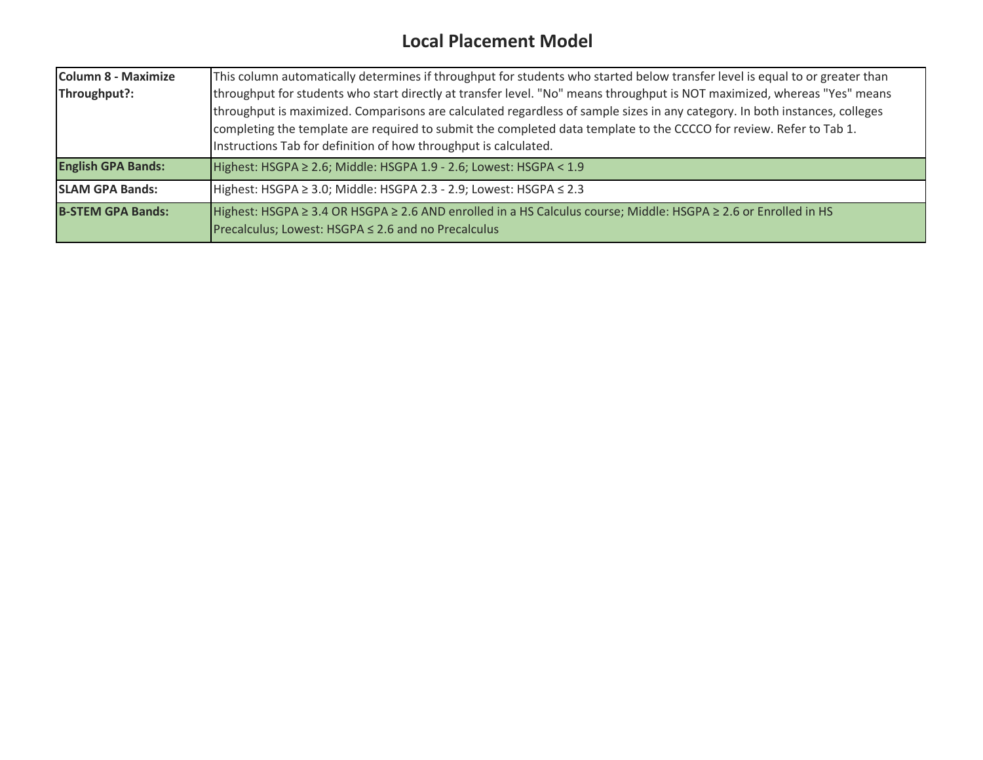### **Local Placement Model**

| <b>Column 8 - Maximize</b> | This column automatically determines if throughput for students who started below transfer level is equal to or greater than |  |  |  |  |  |  |  |  |  |
|----------------------------|------------------------------------------------------------------------------------------------------------------------------|--|--|--|--|--|--|--|--|--|
| Throughput?:               | throughput for students who start directly at transfer level. "No" means throughput is NOT maximized, whereas "Yes" means    |  |  |  |  |  |  |  |  |  |
|                            | throughput is maximized. Comparisons are calculated regardless of sample sizes in any category. In both instances, colleges  |  |  |  |  |  |  |  |  |  |
|                            | completing the template are required to submit the completed data template to the CCCCO for review. Refer to Tab 1.          |  |  |  |  |  |  |  |  |  |
|                            | Instructions Tab for definition of how throughput is calculated.                                                             |  |  |  |  |  |  |  |  |  |
| <b>English GPA Bands:</b>  | Highest: HSGPA ≥ 2.6; Middle: HSGPA 1.9 - 2.6; Lowest: HSGPA < 1.9                                                           |  |  |  |  |  |  |  |  |  |
| <b>SLAM GPA Bands:</b>     | Highest: HSGPA ≥ 3.0; Middle: HSGPA 2.3 - 2.9; Lowest: HSGPA ≤ 2.3                                                           |  |  |  |  |  |  |  |  |  |
| <b>B-STEM GPA Bands:</b>   | Highest: HSGPA ≥ 3.4 OR HSGPA ≥ 2.6 AND enrolled in a HS Calculus course; Middle: HSGPA ≥ 2.6 or Enrolled in HS              |  |  |  |  |  |  |  |  |  |
|                            | Precalculus; Lowest: HSGPA $\leq$ 2.6 and no Precalculus                                                                     |  |  |  |  |  |  |  |  |  |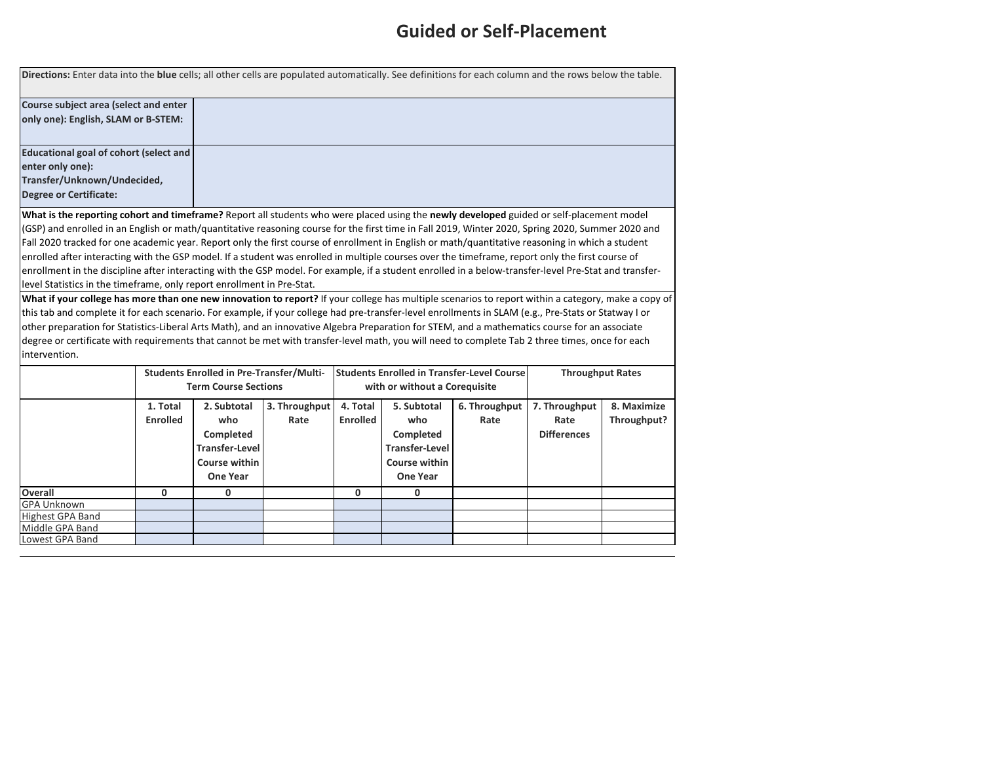#### **Guided or Self-Placement**

|                                        | Directions: Enter data into the blue cells; all other cells are populated automatically. See definitions for each column and the rows below the table. |
|----------------------------------------|--------------------------------------------------------------------------------------------------------------------------------------------------------|
| Course subject area (select and enter  |                                                                                                                                                        |
| only one): English, SLAM or B-STEM:    |                                                                                                                                                        |
| Educational goal of cohort (select and |                                                                                                                                                        |
| enter only one):                       |                                                                                                                                                        |
| Transfer/Unknown/Undecided,            |                                                                                                                                                        |
| <b>Degree or Certificate:</b>          |                                                                                                                                                        |
|                                        |                                                                                                                                                        |

**What is the reporting cohort and timeframe?** Report all students who were placed using the **newly developed** guided or self-placement model (GSP) and enrolled in an English or math/quantitative reasoning course for the first time in Fall 2019, Winter 2020, Spring 2020, Summer 2020 and Fall 2020 tracked for one academic year. Report only the first course of enrollment in English or math/quantitative reasoning in which a student enrolled after interacting with the GSP model. If a student was enrolled in multiple courses over the timeframe, report only the first course of enrollment in the discipline after interacting with the GSP model. For example, if a student enrolled in a below-transfer-level Pre-Stat and transferlevel Statistics in the timeframe, only report enrollment in Pre-Stat.

**What if your college has more than one new innovation to report?** If your college has multiple scenarios to report within a category, make a copy of this tab and complete it for each scenario. For example, if your college had pre-transfer-level enrollments in SLAM (e.g., Pre-Stats or Statway I or other preparation for Statistics-Liberal Arts Math), and an innovative Algebra Preparation for STEM, and a mathematics course for an associate degree or certificate with requirements that cannot be met with transfer-level math, you will need to complete Tab 2 three times, once for each intervention.

|                         | <b>Students Enrolled in Pre-Transfer/Multi-</b><br><b>Term Course Sections</b> |                                                                                              |                       |                             | <b>Students Enrolled in Transfer-Level Course</b><br>with or without a Coreguisite           | <b>Throughput Rates</b> |                                             |                            |
|-------------------------|--------------------------------------------------------------------------------|----------------------------------------------------------------------------------------------|-----------------------|-----------------------------|----------------------------------------------------------------------------------------------|-------------------------|---------------------------------------------|----------------------------|
|                         | 1. Total<br><b>Enrolled</b>                                                    | 2. Subtotal<br>who<br>Completed<br><b>Transfer-Level</b><br>Course within<br><b>One Year</b> | 3. Throughput<br>Rate | 4. Total<br><b>Enrolled</b> | 5. Subtotal<br>who<br>Completed<br><b>Transfer-Level</b><br>Course within<br><b>One Year</b> | 6. Throughput<br>Rate   | 7. Throughput<br>Rate<br><b>Differences</b> | 8. Maximize<br>Throughput? |
| <b>Overall</b>          | 0                                                                              |                                                                                              |                       | 0                           | <sup>n</sup>                                                                                 |                         |                                             |                            |
| <b>GPA Unknown</b>      |                                                                                |                                                                                              |                       |                             |                                                                                              |                         |                                             |                            |
| <b>Highest GPA Band</b> |                                                                                |                                                                                              |                       |                             |                                                                                              |                         |                                             |                            |
| Middle GPA Band         |                                                                                |                                                                                              |                       |                             |                                                                                              |                         |                                             |                            |
| Lowest GPA Band         |                                                                                |                                                                                              |                       |                             |                                                                                              |                         |                                             |                            |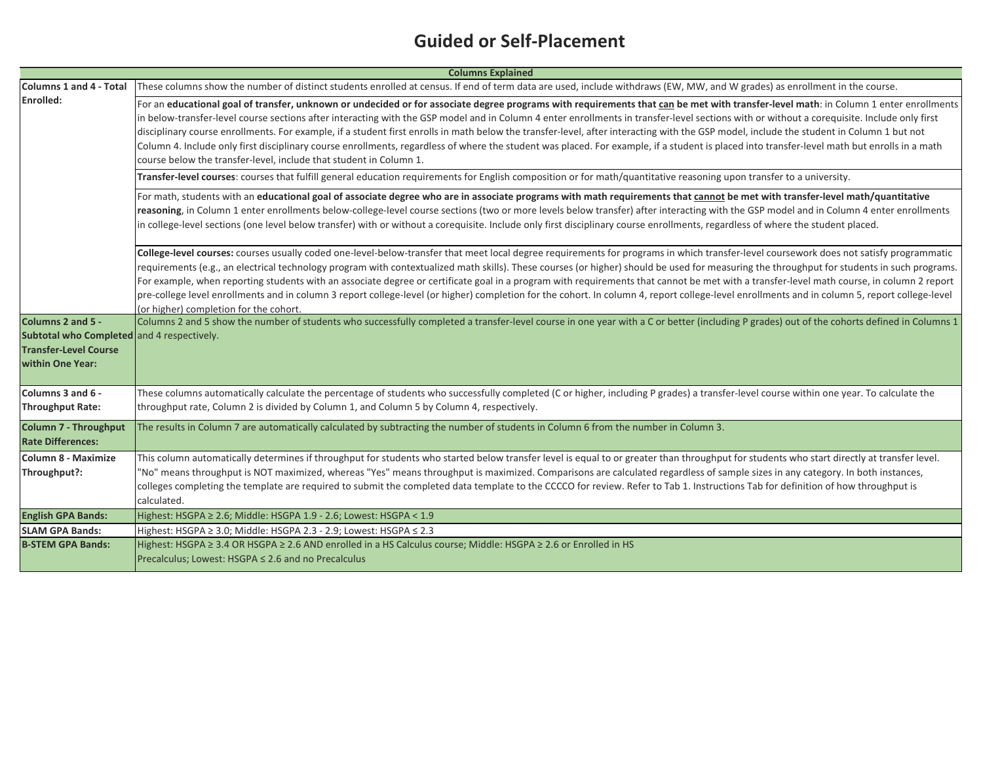### **Guided or Self-Placement**

|                                                                                                                     | <b>Columns Explained</b>                                                                                                                                                                                                                                                                                                                                                                                                                                                                                                                                                                                                                                                                                                                                                                                                                              |
|---------------------------------------------------------------------------------------------------------------------|-------------------------------------------------------------------------------------------------------------------------------------------------------------------------------------------------------------------------------------------------------------------------------------------------------------------------------------------------------------------------------------------------------------------------------------------------------------------------------------------------------------------------------------------------------------------------------------------------------------------------------------------------------------------------------------------------------------------------------------------------------------------------------------------------------------------------------------------------------|
| Columns 1 and 4 - Total                                                                                             | These columns show the number of distinct students enrolled at census. If end of term data are used, include withdraws (EW, MW, and W grades) as enrollment in the course.                                                                                                                                                                                                                                                                                                                                                                                                                                                                                                                                                                                                                                                                            |
| <b>Enrolled:</b>                                                                                                    | For an educational goal of transfer, unknown or undecided or for associate degree programs with requirements that can be met with transfer-level math: in Column 1 enter enrollments<br>in below-transfer-level course sections after interacting with the GSP model and in Column 4 enter enrollments in transfer-level sections with or without a corequisite. Include only first<br>disciplinary course enrollments. For example, if a student first enrolls in math below the transfer-level, after interacting with the GSP model, include the student in Column 1 but not<br>Column 4. Include only first disciplinary course enrollments, regardless of where the student was placed. For example, if a student is placed into transfer-level math but enrolls in a math<br>course below the transfer-level, include that student in Column 1. |
|                                                                                                                     | Transfer-level courses: courses that fulfill general education requirements for English composition or for math/quantitative reasoning upon transfer to a university.                                                                                                                                                                                                                                                                                                                                                                                                                                                                                                                                                                                                                                                                                 |
|                                                                                                                     | For math, students with an educational goal of associate degree who are in associate programs with math requirements that cannot be met with transfer-level math/quantitative<br>reasoning, in Column 1 enter enrollments below-college-level course sections (two or more levels below transfer) after interacting with the GSP model and in Column 4 enter enrollments<br>in college-level sections (one level below transfer) with or without a corequisite. Include only first disciplinary course enrollments, regardless of where the student placed.                                                                                                                                                                                                                                                                                           |
|                                                                                                                     | College-level courses: courses usually coded one-level-below-transfer that meet local degree requirements for programs in which transfer-level coursework does not satisfy programmatic<br>requirements (e.g., an electrical technology program with contextualized math skills). These courses (or higher) should be used for measuring the throughput for students in such programs.<br>For example, when reporting students with an associate degree or certificate goal in a program with requirements that cannot be met with a transfer-level math course, in column 2 report<br>pre-college level enrollments and in column 3 report college-level (or higher) completion for the cohort. In column 4, report college-level enrollments and in column 5, report college-level<br>(or higher) completion for the cohort.                        |
| Columns 2 and 5 -<br>Subtotal who Completed and 4 respectively.<br><b>Transfer-Level Course</b><br>within One Year: | Columns 2 and 5 show the number of students who successfully completed a transfer-level course in one year with a C or better (including P grades) out of the cohorts defined in Columns 1                                                                                                                                                                                                                                                                                                                                                                                                                                                                                                                                                                                                                                                            |
| Columns 3 and 6 -<br><b>Throughput Rate:</b>                                                                        | These columns automatically calculate the percentage of students who successfully completed (C or higher, including P grades) a transfer-level course within one year. To calculate the<br>throughput rate, Column 2 is divided by Column 1, and Column 5 by Column 4, respectively.                                                                                                                                                                                                                                                                                                                                                                                                                                                                                                                                                                  |
| <b>Column 7 - Throughput</b><br><b>Rate Differences:</b>                                                            | The results in Column 7 are automatically calculated by subtracting the number of students in Column 6 from the number in Column 3.                                                                                                                                                                                                                                                                                                                                                                                                                                                                                                                                                                                                                                                                                                                   |
| <b>Column 8 - Maximize</b><br>Throughput?:                                                                          | This column automatically determines if throughput for students who started below transfer level is equal to or greater than throughput for students who start directly at transfer level.<br>"No" means throughput is NOT maximized, whereas "Yes" means throughput is maximized. Comparisons are calculated regardless of sample sizes in any category. In both instances,<br>colleges completing the template are required to submit the completed data template to the CCCCO for review. Refer to Tab 1. Instructions Tab for definition of how throughput is<br>calculated.                                                                                                                                                                                                                                                                      |
| <b>English GPA Bands:</b>                                                                                           | Highest: HSGPA ≥ 2.6; Middle: HSGPA 1.9 - 2.6; Lowest: HSGPA < 1.9                                                                                                                                                                                                                                                                                                                                                                                                                                                                                                                                                                                                                                                                                                                                                                                    |
| <b>SLAM GPA Bands:</b>                                                                                              | Highest: HSGPA ≥ 3.0; Middle: HSGPA 2.3 - 2.9; Lowest: HSGPA ≤ 2.3                                                                                                                                                                                                                                                                                                                                                                                                                                                                                                                                                                                                                                                                                                                                                                                    |
| <b>B-STEM GPA Bands:</b>                                                                                            | Highest: HSGPA ≥ 3.4 OR HSGPA ≥ 2.6 AND enrolled in a HS Calculus course; Middle: HSGPA ≥ 2.6 or Enrolled in HS<br>Precalculus; Lowest: HSGPA $\leq$ 2.6 and no Precalculus                                                                                                                                                                                                                                                                                                                                                                                                                                                                                                                                                                                                                                                                           |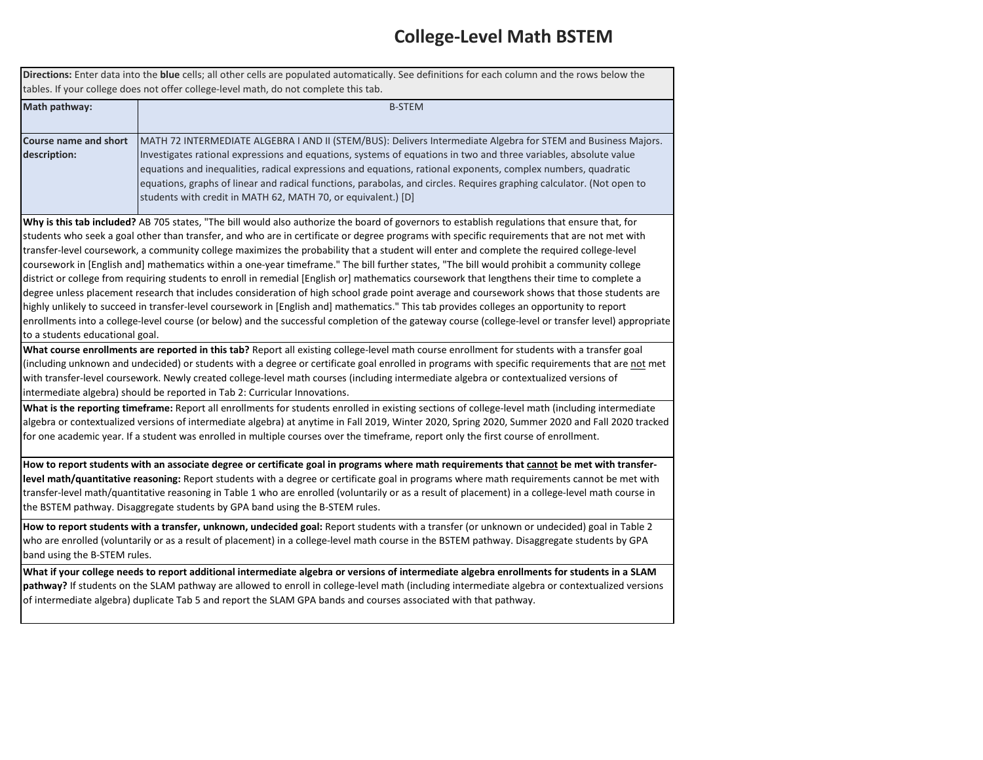#### **College-Level Math BSTEM**

**Directions:** Enter data into the **blue** cells; all other cells are populated automatically. See definitions for each column and the rows below the tables. If your college does not offer college-level math, do not complete this tab.

| Math pathway:                                                                                                                                                                                                                                                                                                                                                                                                                                                                                                                                                                         | <b>B-STEM</b>                                                                                                                                        |  |  |  |  |  |  |  |
|---------------------------------------------------------------------------------------------------------------------------------------------------------------------------------------------------------------------------------------------------------------------------------------------------------------------------------------------------------------------------------------------------------------------------------------------------------------------------------------------------------------------------------------------------------------------------------------|------------------------------------------------------------------------------------------------------------------------------------------------------|--|--|--|--|--|--|--|
| MATH 72 INTERMEDIATE ALGEBRA I AND II (STEM/BUS): Delivers Intermediate Algebra for STEM and Business Majors.<br>Course name and short<br>Investigates rational expressions and equations, systems of equations in two and three variables, absolute value<br>description:<br>equations and inequalities, radical expressions and equations, rational exponents, complex numbers, quadratic<br>equations, graphs of linear and radical functions, parabolas, and circles. Requires graphing calculator. (Not open to<br>students with credit in MATH 62, MATH 70, or equivalent.) [D] |                                                                                                                                                      |  |  |  |  |  |  |  |
|                                                                                                                                                                                                                                                                                                                                                                                                                                                                                                                                                                                       | Why is this tab included? AB 705 states, "The bill would also authorize the board of governors to establish regulations that ensure that, for        |  |  |  |  |  |  |  |
|                                                                                                                                                                                                                                                                                                                                                                                                                                                                                                                                                                                       | students who seek a goal other than transfer, and who are in certificate or degree programs with specific requirements that are not met with         |  |  |  |  |  |  |  |
|                                                                                                                                                                                                                                                                                                                                                                                                                                                                                                                                                                                       | transfer-level coursework, a community college maximizes the probability that a student will enter and complete the required college-level           |  |  |  |  |  |  |  |
|                                                                                                                                                                                                                                                                                                                                                                                                                                                                                                                                                                                       | coursework in [English and] mathematics within a one-year timeframe." The bill further states, "The bill would prohibit a community college          |  |  |  |  |  |  |  |
|                                                                                                                                                                                                                                                                                                                                                                                                                                                                                                                                                                                       | district or college from requiring students to enroll in remedial [English or] mathematics coursework that lengthens their time to complete a        |  |  |  |  |  |  |  |
|                                                                                                                                                                                                                                                                                                                                                                                                                                                                                                                                                                                       | degree unless placement research that includes consideration of high school grade point average and coursework shows that those students are         |  |  |  |  |  |  |  |
|                                                                                                                                                                                                                                                                                                                                                                                                                                                                                                                                                                                       | highly unlikely to succeed in transfer-level coursework in [English and] mathematics." This tab provides colleges an opportunity to report           |  |  |  |  |  |  |  |
|                                                                                                                                                                                                                                                                                                                                                                                                                                                                                                                                                                                       | enrollments into a college-level course (or below) and the successful completion of the gateway course (college-level or transfer level) appropriate |  |  |  |  |  |  |  |
| to a students educational goal.                                                                                                                                                                                                                                                                                                                                                                                                                                                                                                                                                       |                                                                                                                                                      |  |  |  |  |  |  |  |
|                                                                                                                                                                                                                                                                                                                                                                                                                                                                                                                                                                                       | What course enrollments are reported in this tab? Report all existing college-level math course enrollment for students with a transfer goal         |  |  |  |  |  |  |  |
|                                                                                                                                                                                                                                                                                                                                                                                                                                                                                                                                                                                       | (including unknown and undecided) or students with a degree or certificate goal enrolled in programs with specific requirements that are not met     |  |  |  |  |  |  |  |
|                                                                                                                                                                                                                                                                                                                                                                                                                                                                                                                                                                                       | with transfer-level coursework. Newly created college-level math courses (including intermediate algebra or contextualized versions of               |  |  |  |  |  |  |  |
|                                                                                                                                                                                                                                                                                                                                                                                                                                                                                                                                                                                       | intermediate algebra) should be reported in Tab 2: Curricular Innovations.                                                                           |  |  |  |  |  |  |  |
|                                                                                                                                                                                                                                                                                                                                                                                                                                                                                                                                                                                       | What is the reporting timeframe: Report all enrollments for students enrolled in existing sections of college-level math (including intermediate     |  |  |  |  |  |  |  |
|                                                                                                                                                                                                                                                                                                                                                                                                                                                                                                                                                                                       | algebra or contextualized versions of intermediate algebra) at anytime in Fall 2019, Winter 2020, Spring 2020, Summer 2020 and Fall 2020 tracked     |  |  |  |  |  |  |  |
|                                                                                                                                                                                                                                                                                                                                                                                                                                                                                                                                                                                       | for one academic year. If a student was enrolled in multiple courses over the timeframe, report only the first course of enrollment.                 |  |  |  |  |  |  |  |
|                                                                                                                                                                                                                                                                                                                                                                                                                                                                                                                                                                                       | How to report students with an associate degree or certificate goal in programs where math requirements that cannot be met with transfer-            |  |  |  |  |  |  |  |
|                                                                                                                                                                                                                                                                                                                                                                                                                                                                                                                                                                                       | level math/quantitative reasoning: Report students with a degree or certificate goal in programs where math requirements cannot be met with          |  |  |  |  |  |  |  |
|                                                                                                                                                                                                                                                                                                                                                                                                                                                                                                                                                                                       | transfer-level math/quantitative reasoning in Table 1 who are enrolled (voluntarily or as a result of placement) in a college-level math course in   |  |  |  |  |  |  |  |
|                                                                                                                                                                                                                                                                                                                                                                                                                                                                                                                                                                                       | the BSTEM pathway. Disaggregate students by GPA band using the B-STEM rules.                                                                         |  |  |  |  |  |  |  |

**How to report students with a transfer, unknown, undecided goal:** Report students with a transfer (or unknown or undecided) goal in Table 2 who are enrolled (voluntarily or as a result of placement) in a college-level math course in the BSTEM pathway. Disaggregate students by GPA band using the B-STEM rules.

**What if your college needs to report additional intermediate algebra or versions of intermediate algebra enrollments for students in a SLAM pathway?** If students on the SLAM pathway are allowed to enroll in college-level math (including intermediate algebra or contextualized versions of intermediate algebra) duplicate Tab 5 and report the SLAM GPA bands and courses associated with that pathway.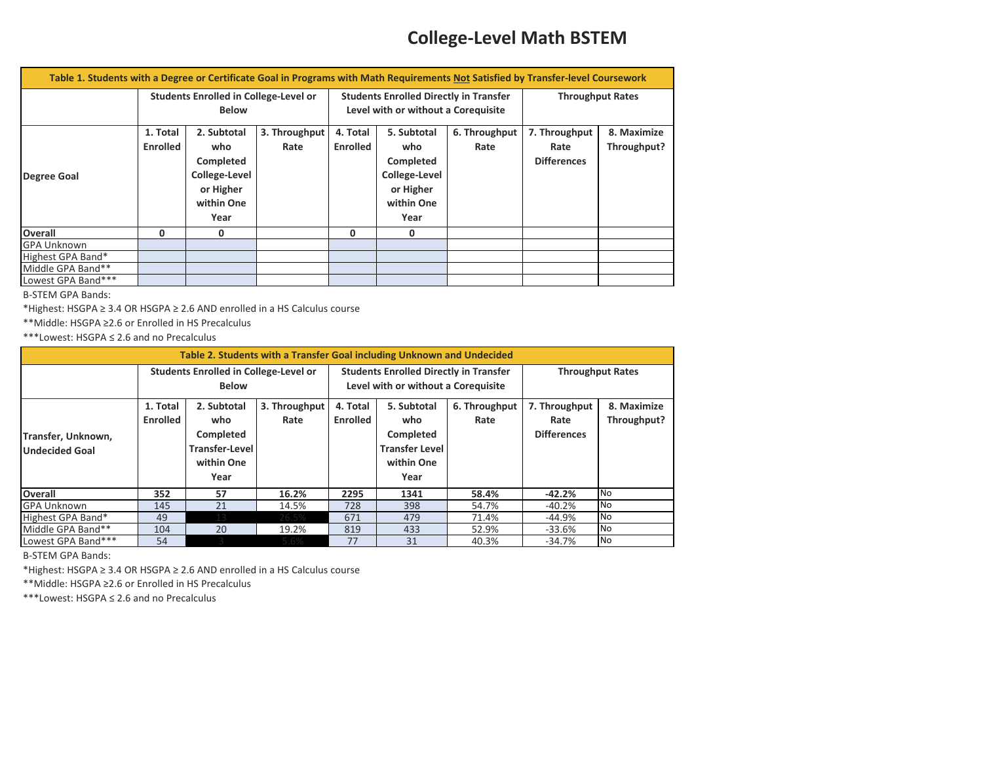### **College-Level Math BSTEM**

| Table 1. Students with a Degree or Certificate Goal in Programs with Math Requirements Not Satisfied by Transfer-level Coursework |                 |                                       |               |                 |                                               |               |                    |                         |  |
|-----------------------------------------------------------------------------------------------------------------------------------|-----------------|---------------------------------------|---------------|-----------------|-----------------------------------------------|---------------|--------------------|-------------------------|--|
|                                                                                                                                   |                 | Students Enrolled in College-Level or |               |                 | <b>Students Enrolled Directly in Transfer</b> |               |                    | <b>Throughput Rates</b> |  |
|                                                                                                                                   | <b>Below</b>    |                                       |               |                 | Level with or without a Coreguisite           |               |                    |                         |  |
|                                                                                                                                   | 1. Total        | 2. Subtotal                           | 3. Throughput | 4. Total        | 5. Subtotal                                   | 6. Throughput | 7. Throughput      | 8. Maximize             |  |
|                                                                                                                                   | <b>Enrolled</b> | who                                   | Rate          | <b>Enrolled</b> | who                                           | Rate          | Rate               | Throughput?             |  |
|                                                                                                                                   |                 | Completed                             |               |                 | Completed                                     |               | <b>Differences</b> |                         |  |
| <b>Degree Goal</b>                                                                                                                |                 | College-Level                         |               |                 | College-Level                                 |               |                    |                         |  |
|                                                                                                                                   |                 | or Higher                             |               |                 | or Higher                                     |               |                    |                         |  |
|                                                                                                                                   |                 | within One                            |               |                 | within One                                    |               |                    |                         |  |
|                                                                                                                                   |                 | Year                                  |               |                 | Year                                          |               |                    |                         |  |
| <b>Overall</b>                                                                                                                    | 0               | 0                                     |               | 0               | 0                                             |               |                    |                         |  |
| <b>GPA Unknown</b>                                                                                                                |                 |                                       |               |                 |                                               |               |                    |                         |  |
| Highest GPA Band*                                                                                                                 |                 |                                       |               |                 |                                               |               |                    |                         |  |
| Middle GPA Band**                                                                                                                 |                 |                                       |               |                 |                                               |               |                    |                         |  |
| Lowest GPA Band***                                                                                                                |                 |                                       |               |                 |                                               |               |                    |                         |  |

B-STEM GPA Bands:

\*Highest: HSGPA ≥ 3.4 OR HSGPA ≥ 2.6 AND enrolled in a HS Calculus course

\*\*Middle: HSGPA ≥2.6 or Enrolled in HS Precalculus

\*\*\*Lowest: HSGPA ≤ 2.6 and no Precalculus

| Table 2. Students with a Transfer Goal including Unknown and Undecided |                                              |                |               |                                               |                       |               |                         |             |
|------------------------------------------------------------------------|----------------------------------------------|----------------|---------------|-----------------------------------------------|-----------------------|---------------|-------------------------|-------------|
|                                                                        | <b>Students Enrolled in College-Level or</b> |                |               | <b>Students Enrolled Directly in Transfer</b> |                       |               | <b>Throughput Rates</b> |             |
|                                                                        | <b>Below</b>                                 |                |               | Level with or without a Coreguisite           |                       |               |                         |             |
|                                                                        | 1. Total                                     | 2. Subtotal    | 3. Throughput | 4. Total                                      | 5. Subtotal           | 6. Throughput | 7. Throughput           | 8. Maximize |
|                                                                        | <b>Enrolled</b>                              | who            | Rate          | <b>Enrolled</b>                               | who                   | Rate          | Rate                    | Throughput? |
| Transfer, Unknown,                                                     |                                              | Completed      |               |                                               | Completed             |               | <b>Differences</b>      |             |
| <b>Undecided Goal</b>                                                  |                                              | Transfer-Level |               |                                               | <b>Transfer Level</b> |               |                         |             |
|                                                                        |                                              | within One     |               |                                               | within One            |               |                         |             |
|                                                                        |                                              | Year           |               |                                               | Year                  |               |                         |             |
| <b>Overall</b>                                                         | 352                                          | 57             | 16.2%         | 2295                                          | 1341                  | 58.4%         | $-42.2%$                | <b>No</b>   |
| <b>GPA Unknown</b>                                                     | 145                                          | 21             | 14.5%         | 728                                           | 398                   | 54.7%         | $-40.2%$                | <b>No</b>   |
| Highest GPA Band*                                                      | 49                                           | 12             | 26.5%         | 671                                           | 479                   | 71.4%         | -44.9%                  | No          |
| Middle GPA Band**                                                      | 104                                          | 20             | 19.2%         | 819                                           | 433                   | 52.9%         | $-33.6%$                | No          |
| Lowest GPA Band***                                                     | 54                                           |                | 5.6%          | 77                                            | 31                    | 40.3%         | $-34.7%$                | <b>No</b>   |

B-STEM GPA Bands:

\*Highest: HSGPA ≥ 3.4 OR HSGPA ≥ 2.6 AND enrolled in a HS Calculus course

\*\*Middle: HSGPA ≥2.6 or Enrolled in HS Precalculus

\*\*\*Lowest: HSGPA ≤ 2.6 and no Precalculus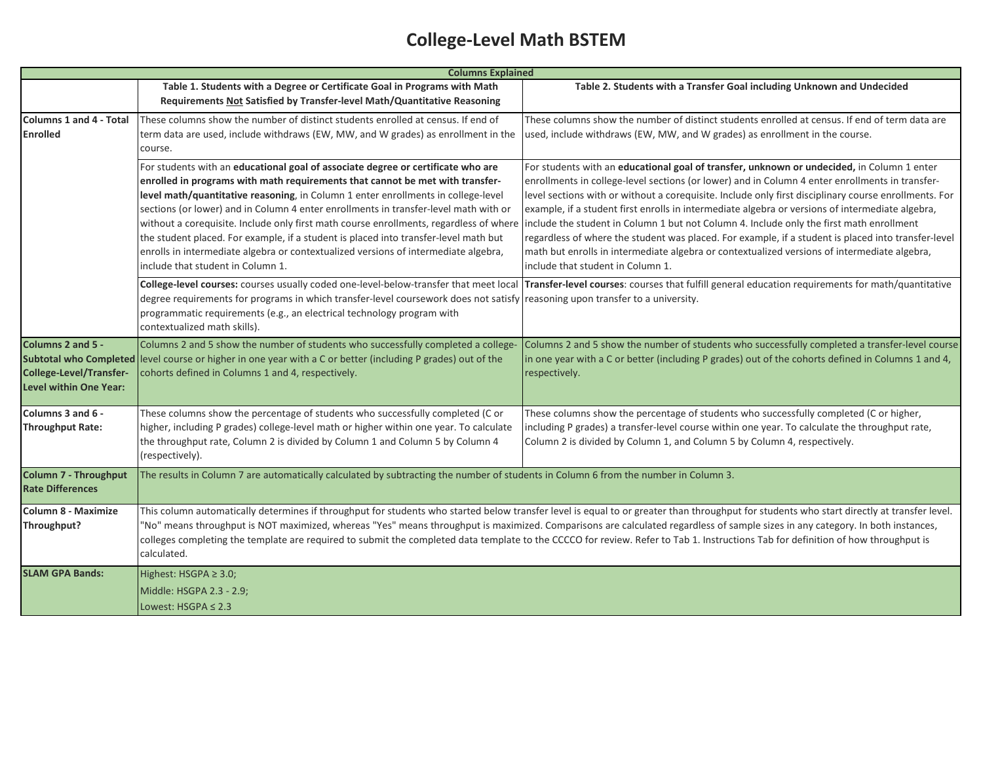## **College-Level Math BSTEM**

|                                | <b>Columns Explained</b>                                                                                                                                                          |                                                                                                                                                                                                     |  |  |  |  |  |
|--------------------------------|-----------------------------------------------------------------------------------------------------------------------------------------------------------------------------------|-----------------------------------------------------------------------------------------------------------------------------------------------------------------------------------------------------|--|--|--|--|--|
|                                | Table 1. Students with a Degree or Certificate Goal in Programs with Math                                                                                                         | Table 2. Students with a Transfer Goal including Unknown and Undecided                                                                                                                              |  |  |  |  |  |
|                                | Requirements Not Satisfied by Transfer-level Math/Quantitative Reasoning                                                                                                          |                                                                                                                                                                                                     |  |  |  |  |  |
| <b>Columns 1 and 4 - Total</b> | These columns show the number of distinct students enrolled at census. If end of                                                                                                  | These columns show the number of distinct students enrolled at census. If end of term data are                                                                                                      |  |  |  |  |  |
| <b>Enrolled</b>                | term data are used, include withdraws (EW, MW, and W grades) as enrollment in the                                                                                                 | used, include withdraws (EW, MW, and W grades) as enrollment in the course.                                                                                                                         |  |  |  |  |  |
|                                | course.                                                                                                                                                                           |                                                                                                                                                                                                     |  |  |  |  |  |
|                                | For students with an educational goal of associate degree or certificate who are                                                                                                  | For students with an educational goal of transfer, unknown or undecided, in Column 1 enter                                                                                                          |  |  |  |  |  |
|                                | enrolled in programs with math requirements that cannot be met with transfer-                                                                                                     | enrollments in college-level sections (or lower) and in Column 4 enter enrollments in transfer-                                                                                                     |  |  |  |  |  |
|                                | level math/quantitative reasoning, in Column 1 enter enrollments in college-level                                                                                                 | level sections with or without a corequisite. Include only first disciplinary course enrollments. For                                                                                               |  |  |  |  |  |
|                                | sections (or lower) and in Column 4 enter enrollments in transfer-level math with or                                                                                              | example, if a student first enrolls in intermediate algebra or versions of intermediate algebra,                                                                                                    |  |  |  |  |  |
|                                | without a corequisite. Include only first math course enrollments, regardless of where                                                                                            | include the student in Column 1 but not Column 4. Include only the first math enrollment                                                                                                            |  |  |  |  |  |
|                                | the student placed. For example, if a student is placed into transfer-level math but<br>enrolls in intermediate algebra or contextualized versions of intermediate algebra,       | regardless of where the student was placed. For example, if a student is placed into transfer-level<br>math but enrolls in intermediate algebra or contextualized versions of intermediate algebra, |  |  |  |  |  |
|                                | include that student in Column 1.                                                                                                                                                 | include that student in Column 1.                                                                                                                                                                   |  |  |  |  |  |
|                                |                                                                                                                                                                                   | College-level courses: courses usually coded one-level-below-transfer that meet local Transfer-level courses: courses that fulfill general education requirements for math/quantitative             |  |  |  |  |  |
|                                | degree requirements for programs in which transfer-level coursework does not satisfy reasoning upon transfer to a university.                                                     |                                                                                                                                                                                                     |  |  |  |  |  |
|                                | programmatic requirements (e.g., an electrical technology program with                                                                                                            |                                                                                                                                                                                                     |  |  |  |  |  |
|                                | contextualized math skills).                                                                                                                                                      |                                                                                                                                                                                                     |  |  |  |  |  |
| Columns 2 and 5 -              | Columns 2 and 5 show the number of students who successfully completed a college-                                                                                                 | Columns 2 and 5 show the number of students who successfully completed a transfer-level course                                                                                                      |  |  |  |  |  |
|                                | Subtotal who Completed level course or higher in one year with a C or better (including P grades) out of the                                                                      | in one year with a C or better (including P grades) out of the cohorts defined in Columns 1 and 4,                                                                                                  |  |  |  |  |  |
| College-Level/Transfer-        | cohorts defined in Columns 1 and 4, respectively.                                                                                                                                 | respectively.                                                                                                                                                                                       |  |  |  |  |  |
| Level within One Year:         |                                                                                                                                                                                   |                                                                                                                                                                                                     |  |  |  |  |  |
|                                |                                                                                                                                                                                   |                                                                                                                                                                                                     |  |  |  |  |  |
| Columns 3 and 6 -              | These columns show the percentage of students who successfully completed (C or                                                                                                    | These columns show the percentage of students who successfully completed (C or higher,                                                                                                              |  |  |  |  |  |
| <b>Throughput Rate:</b>        | higher, including P grades) college-level math or higher within one year. To calculate                                                                                            | including P grades) a transfer-level course within one year. To calculate the throughput rate,                                                                                                      |  |  |  |  |  |
|                                | the throughput rate, Column 2 is divided by Column 1 and Column 5 by Column 4                                                                                                     | Column 2 is divided by Column 1, and Column 5 by Column 4, respectively.                                                                                                                            |  |  |  |  |  |
|                                | (respectively).                                                                                                                                                                   |                                                                                                                                                                                                     |  |  |  |  |  |
| <b>Column 7 - Throughput</b>   | The results in Column 7 are automatically calculated by subtracting the number of students in Column 6 from the number in Column 3.                                               |                                                                                                                                                                                                     |  |  |  |  |  |
| <b>Rate Differences</b>        |                                                                                                                                                                                   |                                                                                                                                                                                                     |  |  |  |  |  |
| <b>Column 8 - Maximize</b>     |                                                                                                                                                                                   | This column automatically determines if throughput for students who started below transfer level is equal to or greater than throughput for students who start directly at transfer level.          |  |  |  |  |  |
| Throughput?                    | "No" means throughput is NOT maximized, whereas "Yes" means throughput is maximized. Comparisons are calculated regardless of sample sizes in any category. In both instances,    |                                                                                                                                                                                                     |  |  |  |  |  |
|                                | colleges completing the template are required to submit the completed data template to the CCCCO for review. Refer to Tab 1. Instructions Tab for definition of how throughput is |                                                                                                                                                                                                     |  |  |  |  |  |
|                                | calculated.                                                                                                                                                                       |                                                                                                                                                                                                     |  |  |  |  |  |
| <b>SLAM GPA Bands:</b>         | Highest: HSGPA ≥ 3.0;                                                                                                                                                             |                                                                                                                                                                                                     |  |  |  |  |  |
|                                | Middle: HSGPA 2.3 - 2.9;                                                                                                                                                          |                                                                                                                                                                                                     |  |  |  |  |  |
|                                | Lowest: $HSGPA \leq 2.3$                                                                                                                                                          |                                                                                                                                                                                                     |  |  |  |  |  |
|                                |                                                                                                                                                                                   |                                                                                                                                                                                                     |  |  |  |  |  |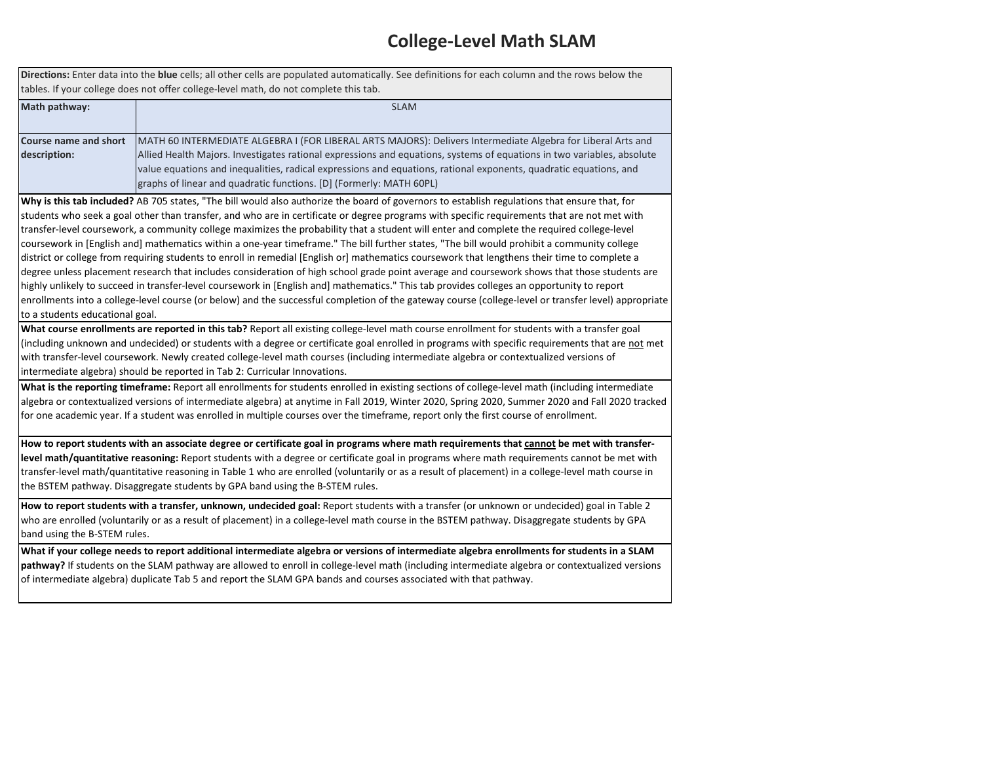#### **College-Level Math SLAM**

**Directions:** Enter data into the **blue** cells; all other cells are populated automatically. See definitions for each column and the rows below the tables. If your college does not offer college-level math, do not complete this tab.

| Math pathway:                | <b>SLAM</b>                                                                                                            |
|------------------------------|------------------------------------------------------------------------------------------------------------------------|
|                              |                                                                                                                        |
| <b>Course name and short</b> | MATH 60 INTERMEDIATE ALGEBRA I (FOR LIBERAL ARTS MAJORS): Delivers Intermediate Algebra for Liberal Arts and           |
| description:                 | Allied Health Majors. Investigates rational expressions and equations, systems of equations in two variables, absolute |
|                              | value equations and inequalities, radical expressions and equations, rational exponents, quadratic equations, and      |
|                              | graphs of linear and quadratic functions. [D] (Formerly: MATH 60PL)                                                    |

**Why is this tab included?** AB 705 states, "The bill would also authorize the board of governors to establish regulations that ensure that, for students who seek a goal other than transfer, and who are in certificate or degree programs with specific requirements that are not met with transfer-level coursework, a community college maximizes the probability that a student will enter and complete the required college-level coursework in [English and] mathematics within a one-year timeframe." The bill further states, "The bill would prohibit a community college district or college from requiring students to enroll in remedial [English or] mathematics coursework that lengthens their time to complete a degree unless placement research that includes consideration of high school grade point average and coursework shows that those students are highly unlikely to succeed in transfer-level coursework in [English and] mathematics." This tab provides colleges an opportunity to report enrollments into a college-level course (or below) and the successful completion of the gateway course (college-level or transfer level) appropriate to a students educational goal.

**What course enrollments are reported in this tab?** Report all existing college-level math course enrollment for students with a transfer goal (including unknown and undecided) or students with a degree or certificate goal enrolled in programs with specific requirements that are not met with transfer-level coursework. Newly created college-level math courses (including intermediate algebra or contextualized versions of intermediate algebra) should be reported in Tab 2: Curricular Innovations.

**What is the reporting timeframe:** Report all enrollments for students enrolled in existing sections of college-level math (including intermediate algebra or contextualized versions of intermediate algebra) at anytime in Fall 2019, Winter 2020, Spring 2020, Summer 2020 and Fall 2020 tracked for one academic year. If a student was enrolled in multiple courses over the timeframe, report only the first course of enrollment.

**How to report students with an associate degree or certificate goal in programs where math requirements that cannot be met with transferlevel math/quantitative reasoning:** Report students with a degree or certificate goal in programs where math requirements cannot be met with transfer-level math/quantitative reasoning in Table 1 who are enrolled (voluntarily or as a result of placement) in a college-level math course in the BSTEM pathway. Disaggregate students by GPA band using the B-STEM rules.

**How to report students with a transfer, unknown, undecided goal:** Report students with a transfer (or unknown or undecided) goal in Table 2 who are enrolled (voluntarily or as a result of placement) in a college-level math course in the BSTEM pathway. Disaggregate students by GPA band using the B-STEM rules.

**What if your college needs to report additional intermediate algebra or versions of intermediate algebra enrollments for students in a SLAM pathway?** If students on the SLAM pathway are allowed to enroll in college-level math (including intermediate algebra or contextualized versions of intermediate algebra) duplicate Tab 5 and report the SLAM GPA bands and courses associated with that pathway.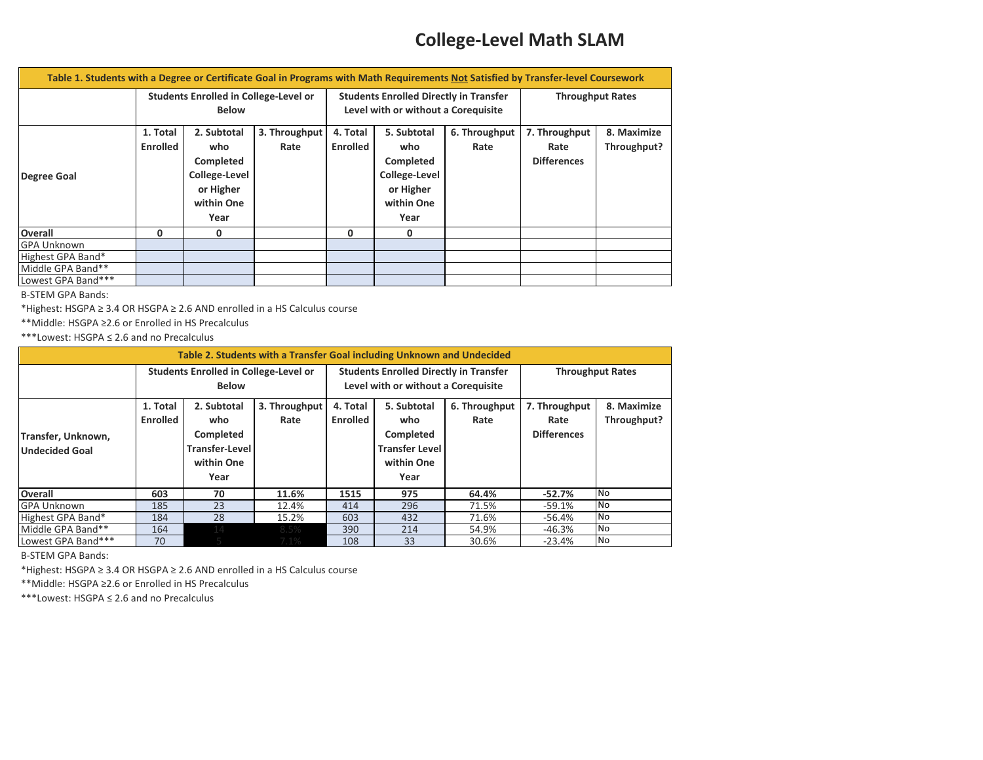### **College-Level Math SLAM**

| Table 1. Students with a Degree or Certificate Goal in Programs with Math Requirements Not Satisfied by Transfer-level Coursework |                                       |                      |                                     |                                               |               |               |                         |             |
|-----------------------------------------------------------------------------------------------------------------------------------|---------------------------------------|----------------------|-------------------------------------|-----------------------------------------------|---------------|---------------|-------------------------|-------------|
|                                                                                                                                   | Students Enrolled in College-Level or |                      |                                     | <b>Students Enrolled Directly in Transfer</b> |               |               | <b>Throughput Rates</b> |             |
|                                                                                                                                   | <b>Below</b>                          |                      | Level with or without a Corequisite |                                               |               |               |                         |             |
|                                                                                                                                   | 1. Total                              | 2. Subtotal          | 3. Throughput                       | 4. Total                                      | 5. Subtotal   | 6. Throughput | 7. Throughput           | 8. Maximize |
|                                                                                                                                   | <b>Enrolled</b>                       | who                  | Rate                                | <b>Enrolled</b>                               | who           | Rate          | Rate                    | Throughput? |
|                                                                                                                                   |                                       | Completed            |                                     |                                               | Completed     |               | <b>Differences</b>      |             |
| <b>Degree Goal</b>                                                                                                                |                                       | <b>College-Level</b> |                                     |                                               | College-Level |               |                         |             |
|                                                                                                                                   |                                       | or Higher            |                                     |                                               | or Higher     |               |                         |             |
|                                                                                                                                   |                                       | within One           |                                     |                                               | within One    |               |                         |             |
|                                                                                                                                   |                                       | Year                 |                                     |                                               | Year          |               |                         |             |
| <b>Overall</b>                                                                                                                    | 0                                     | 0                    |                                     | 0                                             | 0             |               |                         |             |
| <b>GPA Unknown</b>                                                                                                                |                                       |                      |                                     |                                               |               |               |                         |             |
| Highest GPA Band*                                                                                                                 |                                       |                      |                                     |                                               |               |               |                         |             |
| Middle GPA Band**                                                                                                                 |                                       |                      |                                     |                                               |               |               |                         |             |
| Lowest GPA Band***                                                                                                                |                                       |                      |                                     |                                               |               |               |                         |             |

B-STEM GPA Bands:

\*Highest: HSGPA ≥ 3.4 OR HSGPA ≥ 2.6 AND enrolled in a HS Calculus course

\*\*Middle: HSGPA ≥2.6 or Enrolled in HS Precalculus

\*\*\*Lowest: HSGPA ≤ 2.6 and no Precalculus

| Table 2. Students with a Transfer Goal including Unknown and Undecided |                                                              |                                                                                |                       |                                                                                      |                                                                                |                       |                                             |                            |
|------------------------------------------------------------------------|--------------------------------------------------------------|--------------------------------------------------------------------------------|-----------------------|--------------------------------------------------------------------------------------|--------------------------------------------------------------------------------|-----------------------|---------------------------------------------|----------------------------|
|                                                                        | <b>Students Enrolled in College-Level or</b><br><b>Below</b> |                                                                                |                       | <b>Students Enrolled Directly in Transfer</b><br>Level with or without a Corequisite |                                                                                |                       | <b>Throughput Rates</b>                     |                            |
| Transfer, Unknown,<br><b>Undecided Goal</b>                            | 1. Total<br><b>Enrolled</b>                                  | 2. Subtotal<br>who<br>Completed<br><b>Transfer-Level</b><br>within One<br>Year | 3. Throughput<br>Rate | 4. Total<br><b>Enrolled</b>                                                          | 5. Subtotal<br>who<br>Completed<br><b>Transfer Level</b><br>within One<br>Year | 6. Throughput<br>Rate | 7. Throughput<br>Rate<br><b>Differences</b> | 8. Maximize<br>Throughput? |
| <b>Overall</b>                                                         | 603                                                          | 70                                                                             | 11.6%                 | 1515                                                                                 | 975                                                                            | 64.4%                 | $-52.7%$                                    | <b>No</b>                  |
| <b>GPA Unknown</b>                                                     | 185                                                          | 23                                                                             | 12.4%                 | 414                                                                                  | 296                                                                            | 71.5%                 | $-59.1%$                                    | No                         |
| Highest GPA Band*                                                      | 184                                                          | 28                                                                             | 15.2%                 | 603                                                                                  | 432                                                                            | 71.6%                 | -56.4%                                      | <b>No</b>                  |
| Middle GPA Band**                                                      | 164                                                          | 14                                                                             | 8.5%                  | 390                                                                                  | 214                                                                            | 54.9%                 | $-46.3%$                                    | <b>No</b>                  |
| Lowest GPA Band***                                                     | 70                                                           |                                                                                | 7.1%                  | 108                                                                                  | 33                                                                             | 30.6%                 | $-23.4%$                                    | No                         |

B-STEM GPA Bands:

\*Highest: HSGPA ≥ 3.4 OR HSGPA ≥ 2.6 AND enrolled in a HS Calculus course

\*\*Middle: HSGPA ≥2.6 or Enrolled in HS Precalculus

\*\*\*Lowest: HSGPA ≤ 2.6 and no Precalculus